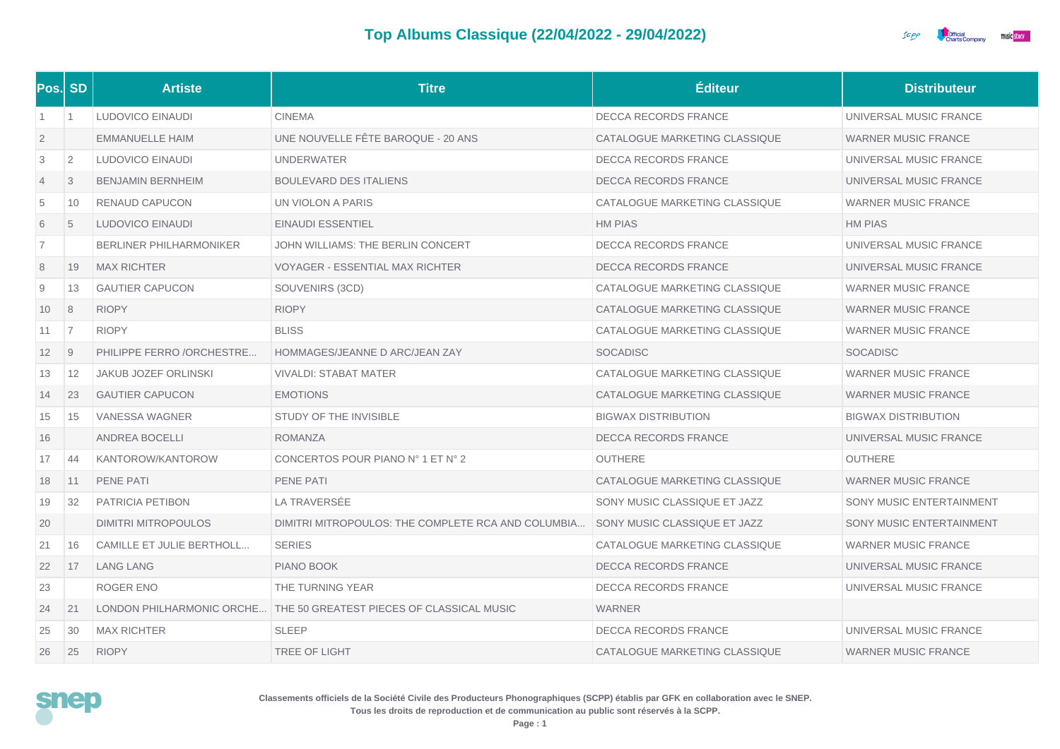## **Top Albums Classique (22/04/2022 - 29/04/2022)**



| Pos. SD           |                | <b>Artiste</b>                 | <b>Titre</b>                                                        | <b>Éditeur</b>                | <b>Distributeur</b>        |
|-------------------|----------------|--------------------------------|---------------------------------------------------------------------|-------------------------------|----------------------------|
| $\overline{1}$    | $\overline{1}$ | LUDOVICO EINAUDI               | <b>CINEMA</b>                                                       | DECCA RECORDS FRANCE          | UNIVERSAL MUSIC FRANCE     |
| $\overline{2}$    |                | <b>EMMANUELLE HAIM</b>         | UNE NOUVELLE FÊTE BAROQUE - 20 ANS                                  | CATALOGUE MARKETING CLASSIQUE | <b>WARNER MUSIC FRANCE</b> |
| 3                 | $\overline{2}$ | LUDOVICO EINAUDI               | <b>UNDERWATER</b>                                                   | <b>DECCA RECORDS FRANCE</b>   | UNIVERSAL MUSIC FRANCE     |
| $\overline{4}$    | 3              | <b>BENJAMIN BERNHEIM</b>       | <b>BOULEVARD DES ITALIENS</b>                                       | DECCA RECORDS FRANCE          | UNIVERSAL MUSIC FRANCE     |
| 5                 | 10             | RENAUD CAPUCON                 | UN VIOLON A PARIS                                                   | CATALOGUE MARKETING CLASSIQUE | <b>WARNER MUSIC FRANCE</b> |
| 6                 | 5              | LUDOVICO EINAUDI               | <b>EINAUDI ESSENTIEL</b>                                            | <b>HM PIAS</b>                | <b>HM PIAS</b>             |
| 7                 |                | <b>BERLINER PHILHARMONIKER</b> | JOHN WILLIAMS: THE BERLIN CONCERT                                   | DECCA RECORDS FRANCE          | UNIVERSAL MUSIC FRANCE     |
| 8                 | 19             | <b>MAX RICHTER</b>             | <b>VOYAGER - ESSENTIAL MAX RICHTER</b>                              | <b>DECCA RECORDS FRANCE</b>   | UNIVERSAL MUSIC FRANCE     |
| 9                 | 13             | <b>GAUTIER CAPUCON</b>         | SOUVENIRS (3CD)                                                     | CATALOGUE MARKETING CLASSIQUE | <b>WARNER MUSIC FRANCE</b> |
| 10                | 8              | <b>RIOPY</b>                   | <b>RIOPY</b>                                                        | CATALOGUE MARKETING CLASSIQUE | <b>WARNER MUSIC FRANCE</b> |
| 11                | $\overline{7}$ | <b>RIOPY</b>                   | <b>BLISS</b>                                                        | CATALOGUE MARKETING CLASSIQUE | <b>WARNER MUSIC FRANCE</b> |
| $12 \overline{ }$ | $\overline{9}$ | PHILIPPE FERRO /ORCHESTRE      | HOMMAGES/JEANNE D ARC/JEAN ZAY                                      | <b>SOCADISC</b>               | <b>SOCADISC</b>            |
| 13                | 12             | <b>JAKUB JOZEF ORLINSKI</b>    | <b>VIVALDI: STABAT MATER</b>                                        | CATALOGUE MARKETING CLASSIQUE | <b>WARNER MUSIC FRANCE</b> |
| 14                | 23             | <b>GAUTIER CAPUCON</b>         | <b>EMOTIONS</b>                                                     | CATALOGUE MARKETING CLASSIQUE | <b>WARNER MUSIC FRANCE</b> |
| 15                | 15             | <b>VANESSA WAGNER</b>          | STUDY OF THE INVISIBLE                                              | <b>BIGWAX DISTRIBUTION</b>    | <b>BIGWAX DISTRIBUTION</b> |
| 16                |                | <b>ANDREA BOCELLI</b>          | <b>ROMANZA</b>                                                      | <b>DECCA RECORDS FRANCE</b>   | UNIVERSAL MUSIC FRANCE     |
| 17                | 44             | KANTOROW/KANTOROW              | CONCERTOS POUR PIANO N° 1 ET N° 2                                   | <b>OUTHERE</b>                | <b>OUTHERE</b>             |
| 18                | 11             | <b>PENE PATI</b>               | PENE PATI                                                           | CATALOGUE MARKETING CLASSIQUE | <b>WARNER MUSIC FRANCE</b> |
| 19                | 32             | PATRICIA PETIBON               | LA TRAVERSÉE                                                        | SONY MUSIC CLASSIQUE ET JAZZ  | SONY MUSIC ENTERTAINMENT   |
| 20                |                | DIMITRI MITROPOULOS            | DIMITRI MITROPOULOS: THE COMPLETE RCA AND COLUMBIA                  | SONY MUSIC CLASSIQUE ET JAZZ  | SONY MUSIC ENTERTAINMENT   |
| 21                | 16             | CAMILLE ET JULIE BERTHOLL      | <b>SERIES</b>                                                       | CATALOGUE MARKETING CLASSIQUE | <b>WARNER MUSIC FRANCE</b> |
| 22                | 17             | <b>LANG LANG</b>               | PIANO BOOK                                                          | <b>DECCA RECORDS FRANCE</b>   | UNIVERSAL MUSIC FRANCE     |
| 23                |                | ROGER ENO                      | THE TURNING YEAR                                                    | <b>DECCA RECORDS FRANCE</b>   | UNIVERSAL MUSIC FRANCE     |
| 24                | 21             |                                | LONDON PHILHARMONIC ORCHE THE 50 GREATEST PIECES OF CLASSICAL MUSIC | <b>WARNER</b>                 |                            |
| 25                | 30             | <b>MAX RICHTER</b>             | <b>SLEEP</b>                                                        | <b>DECCA RECORDS FRANCE</b>   | UNIVERSAL MUSIC FRANCE     |
| 26                | 25             | <b>RIOPY</b>                   | <b>TREE OF LIGHT</b>                                                | CATALOGUE MARKETING CLASSIQUE | <b>WARNER MUSIC FRANCE</b> |



**Classements officiels de la Société Civile des Producteurs Phonographiques (SCPP) établis par GFK en collaboration avec le SNEP. Tous les droits de reproduction et de communication au public sont réservés à la SCPP.**